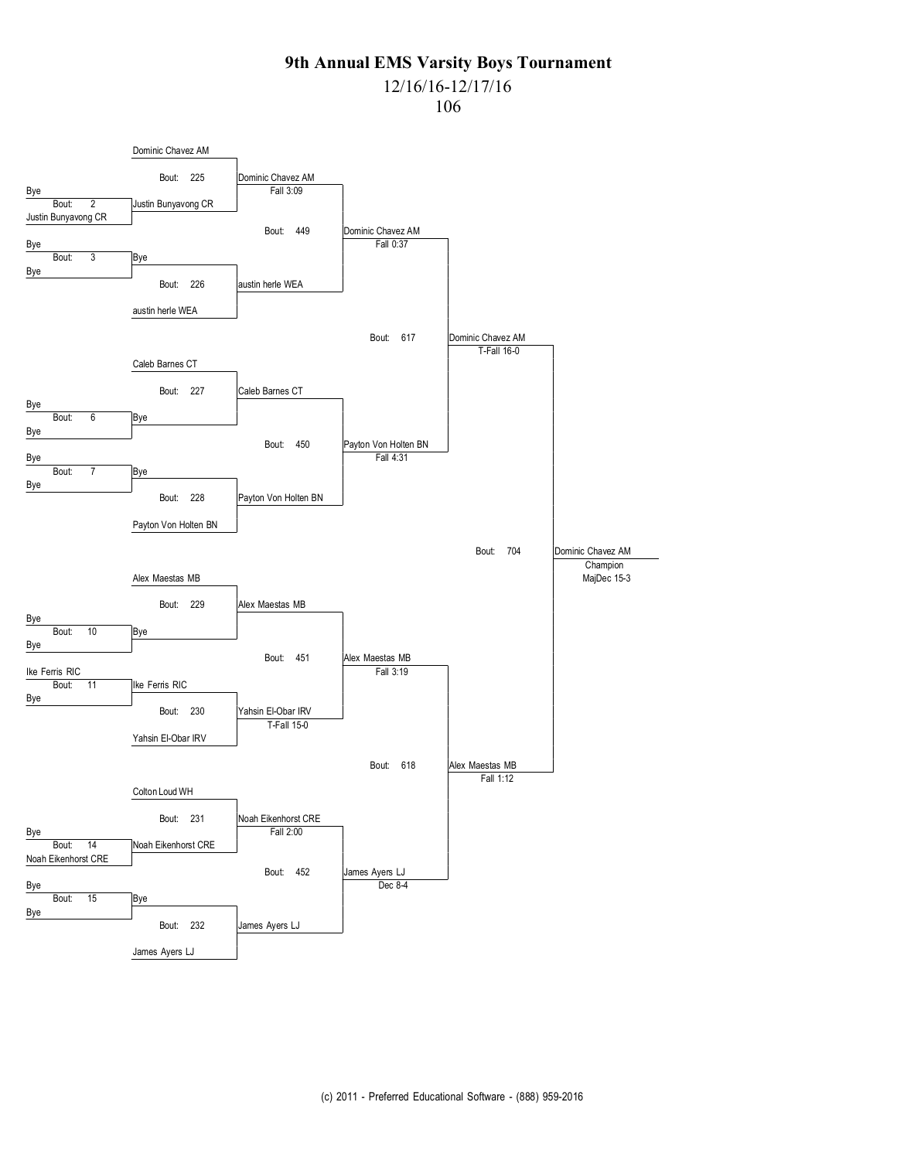## 12/16/16-12/17/16

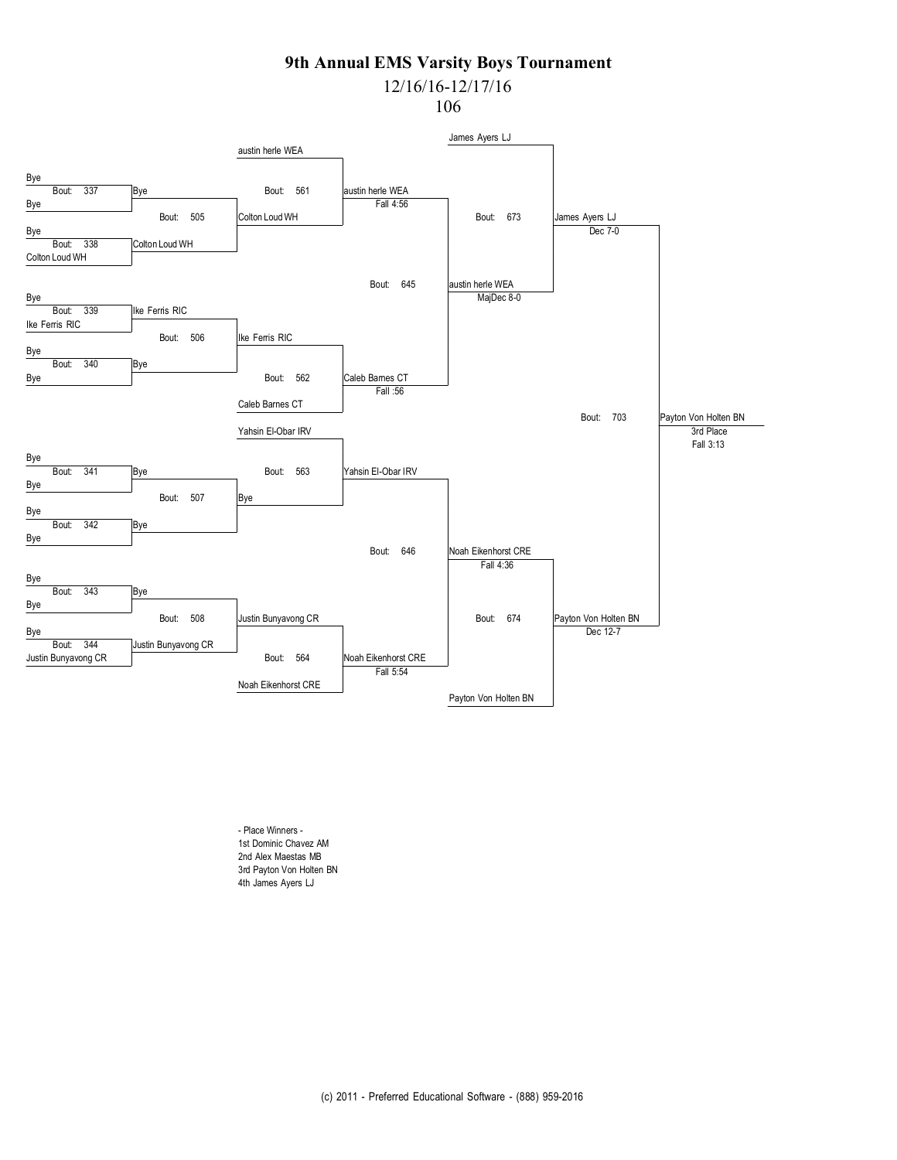# 12/16/16-12/17/16

106



- Place Winners - 1st Dominic Chavez AM 2nd Alex Maestas MB 3rd Payton Von Holten BN 4th James Ayers LJ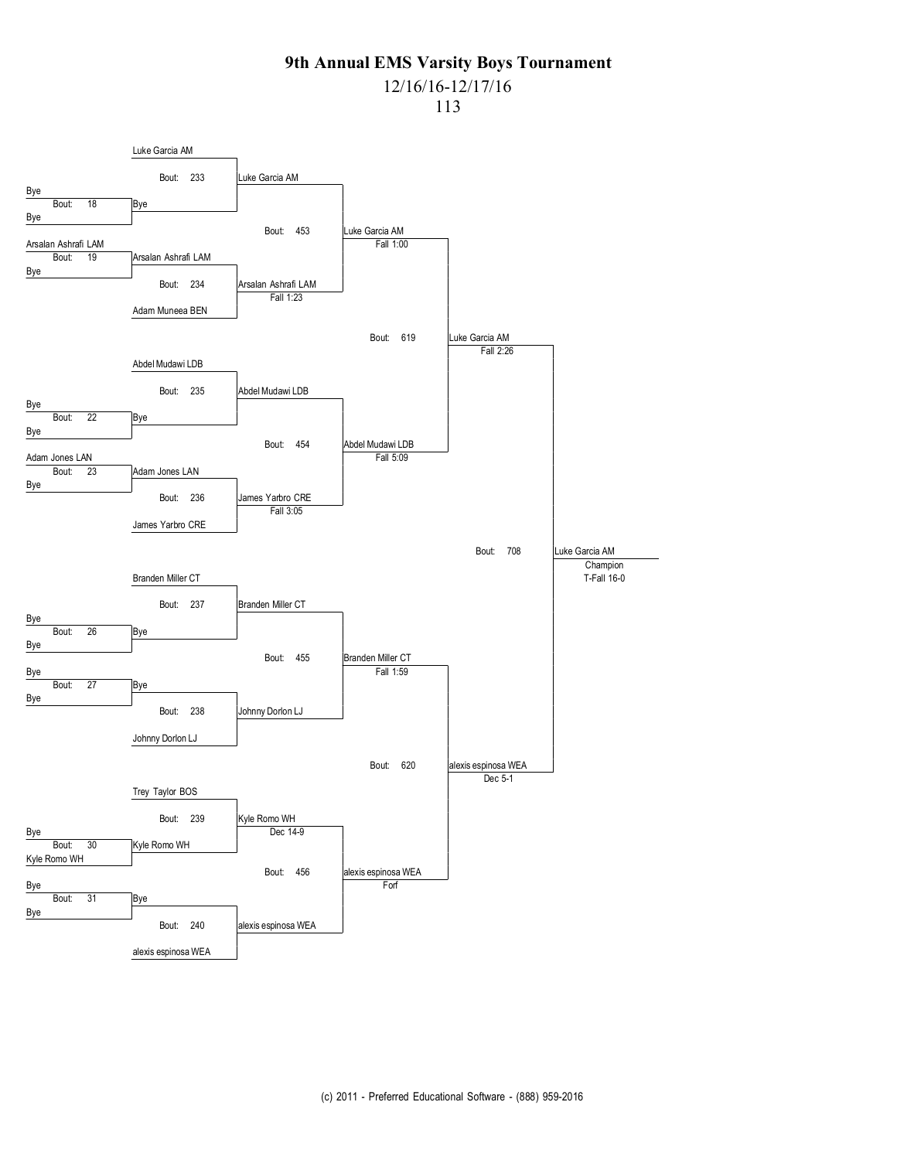# 12/16/16-12/17/16

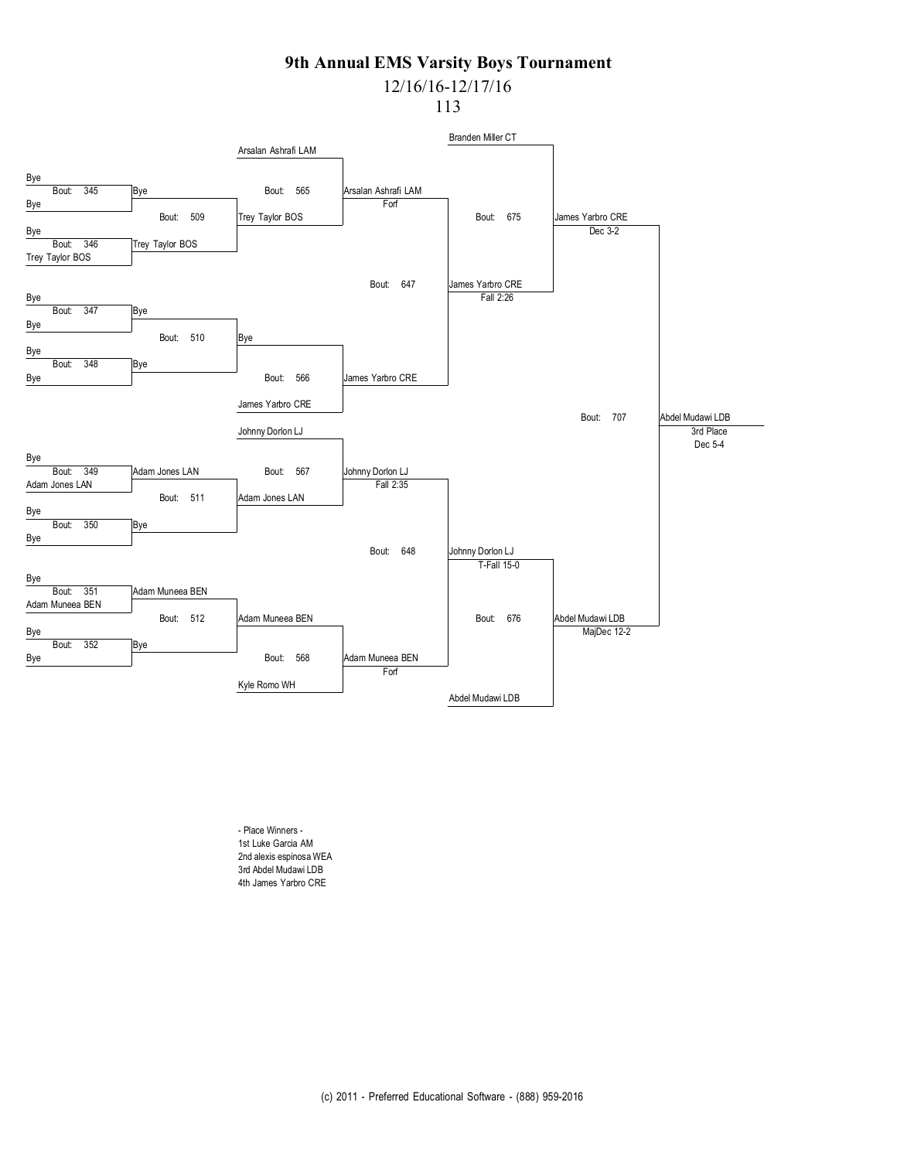12/16/16-12/17/16

113



- Place Winners - 1st Luke Garcia AM 2nd alexis espinosa WEA 3rd Abdel Mudawi LDB 4th James Yarbro CRE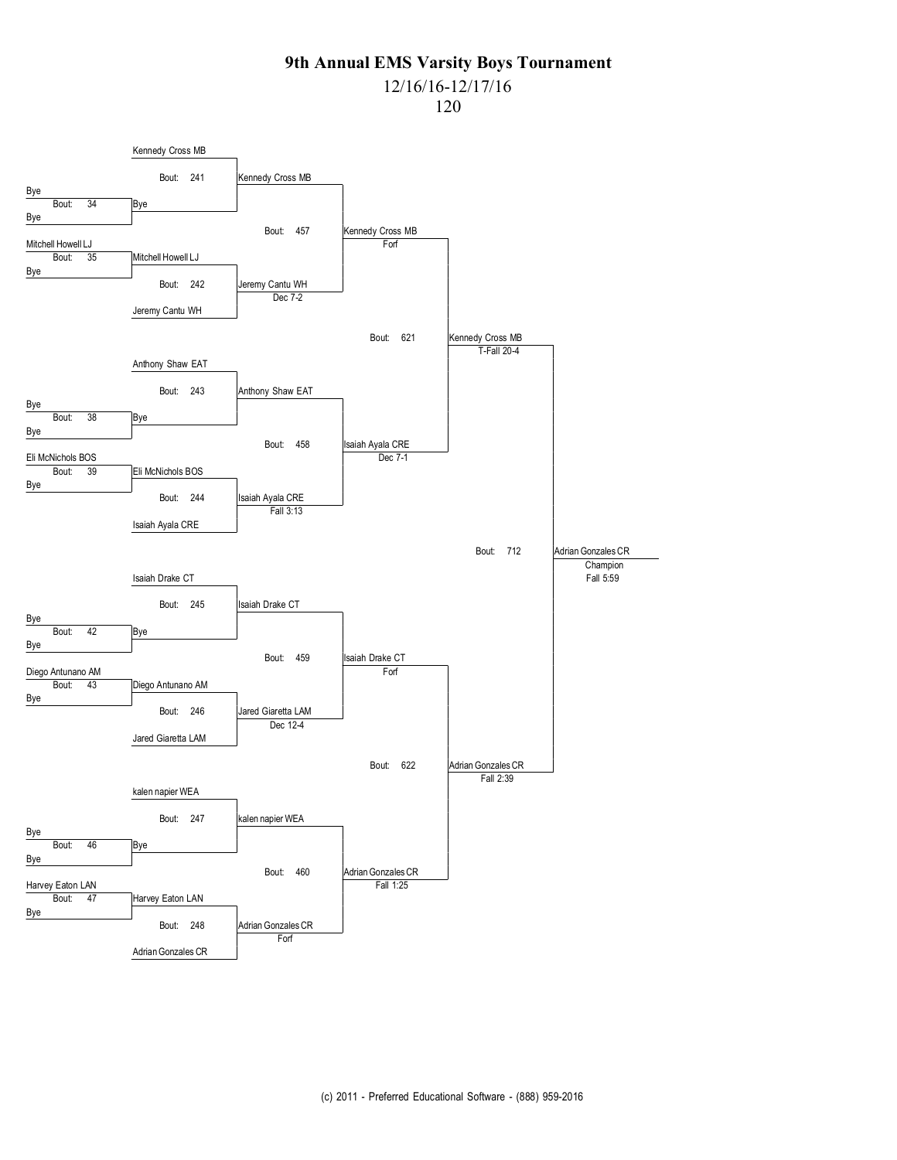### 12/16/16-12/17/16

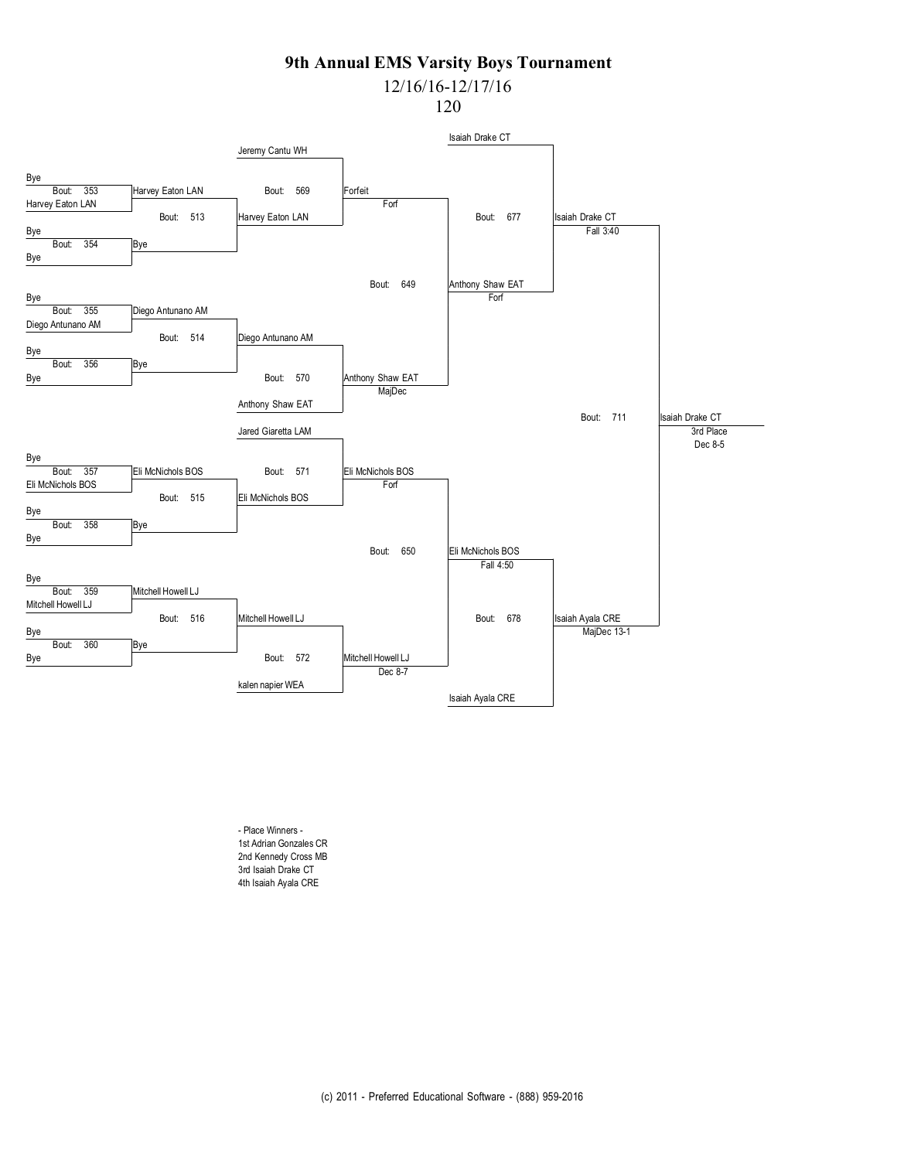# 12/16/16-12/17/16

120



- Place Winners - 1st Adrian Gonzales CR 2nd Kennedy Cross MB 3rd Isaiah Drake CT 4th Isaiah Ayala CRE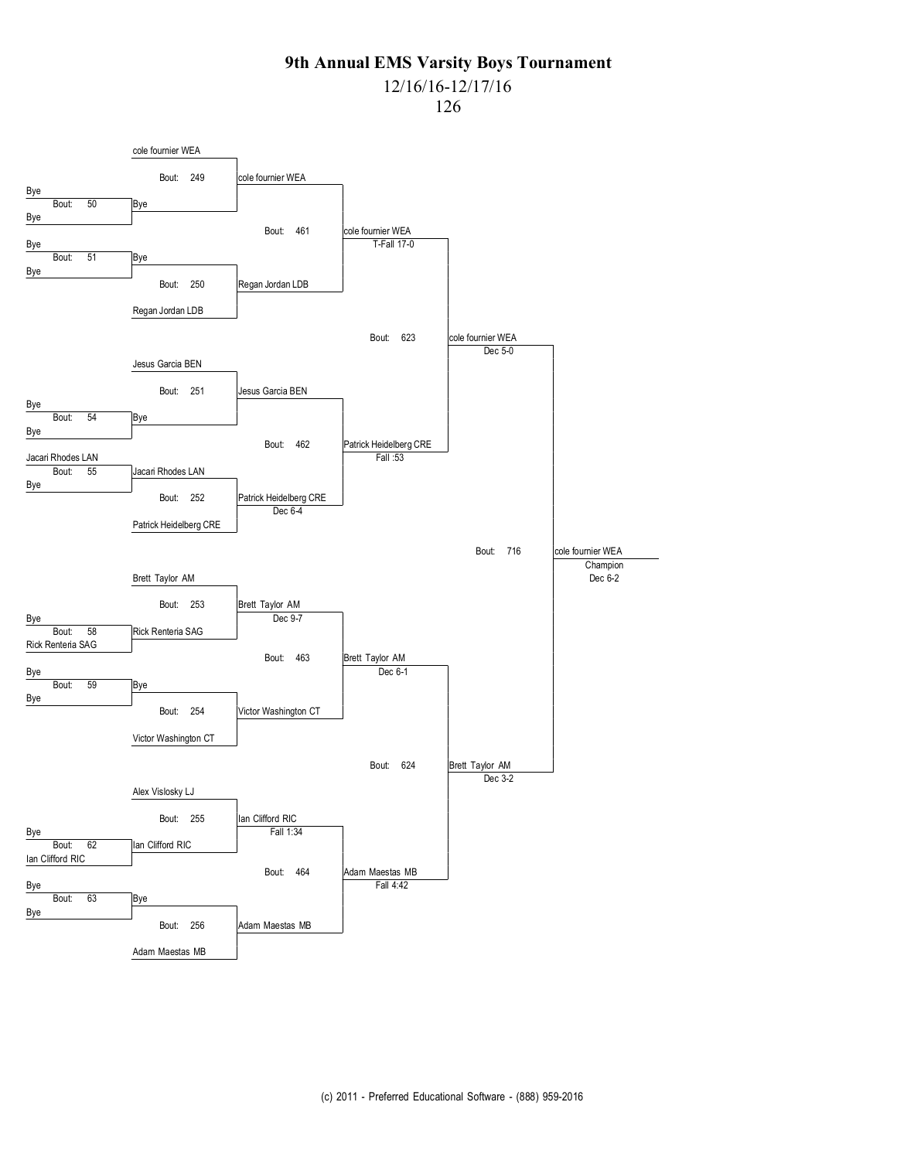## 12/16/16-12/17/16

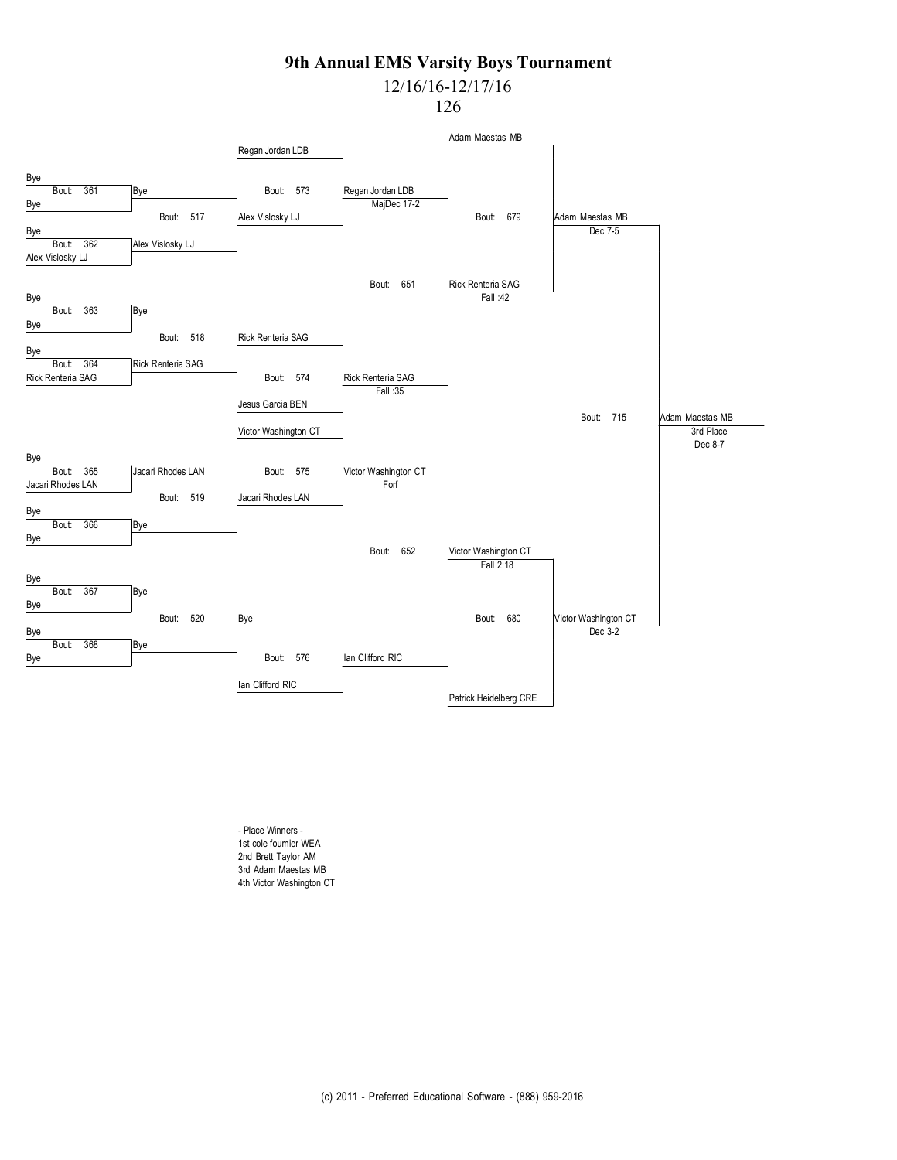# 12/16/16-12/17/16

126



- Place Winners - 1st cole fournier WEA 2nd Brett Taylor AM 3rd Adam Maestas MB 4th Victor Washington CT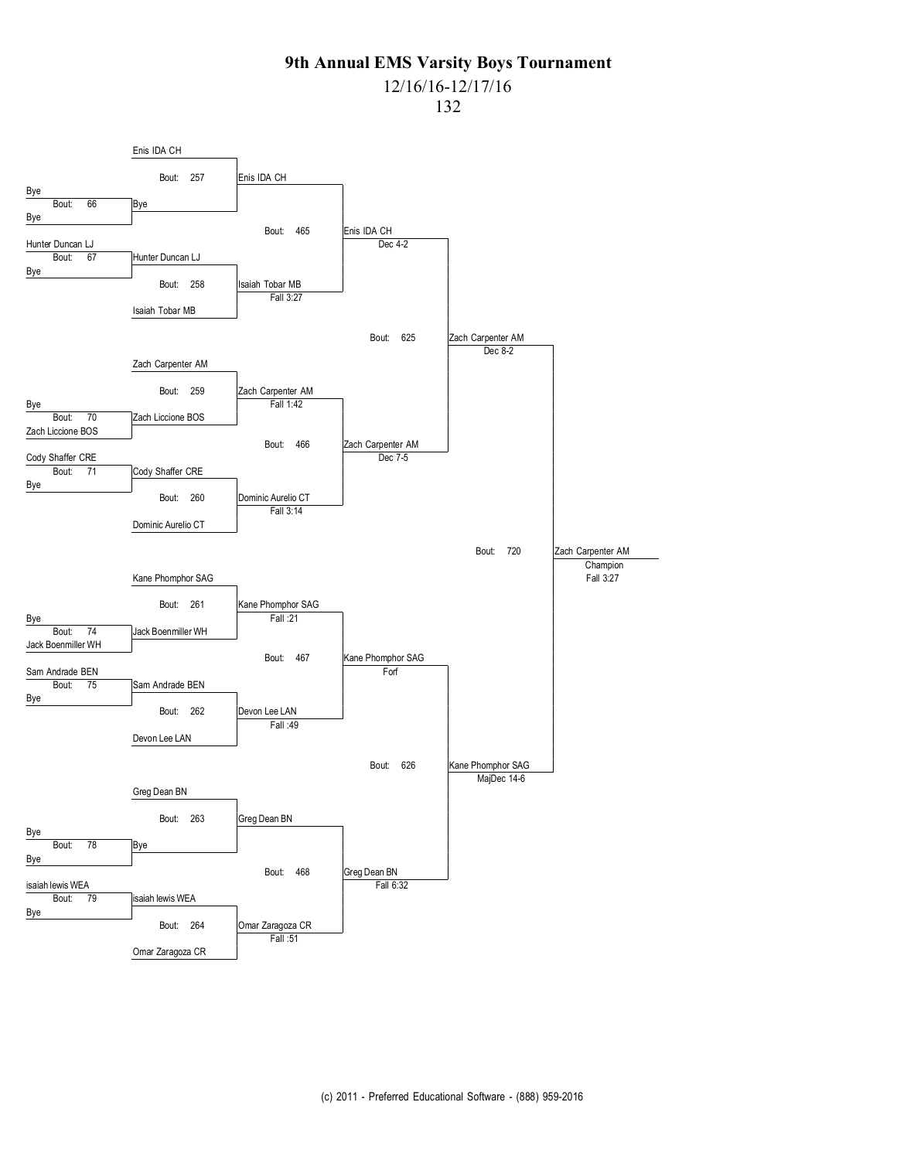## 12/16/16-12/17/16

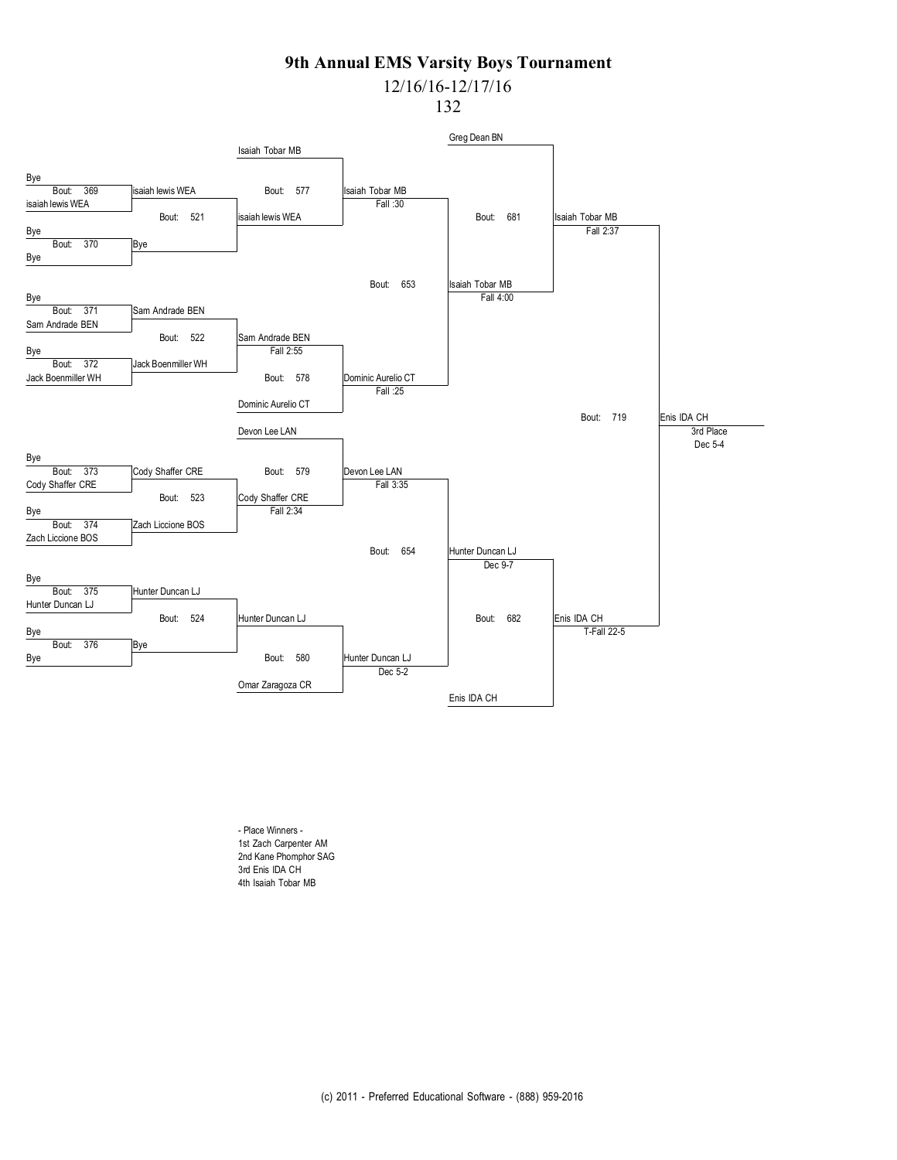# 12/16/16-12/17/16

132



- Place Winners - 1st Zach Carpenter AM 2nd Kane Phomphor SAG 3rd Enis IDA CH 4th Isaiah Tobar MB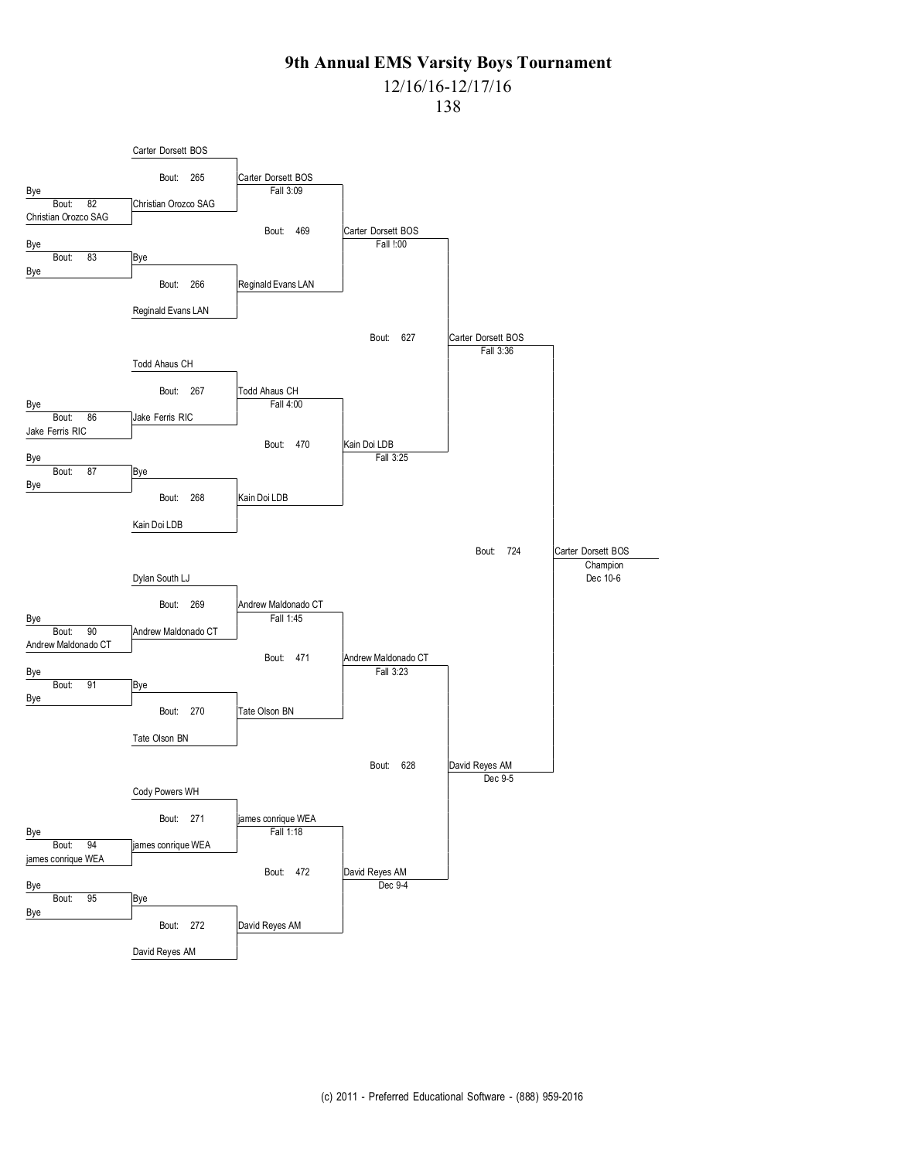## 12/16/16-12/17/16

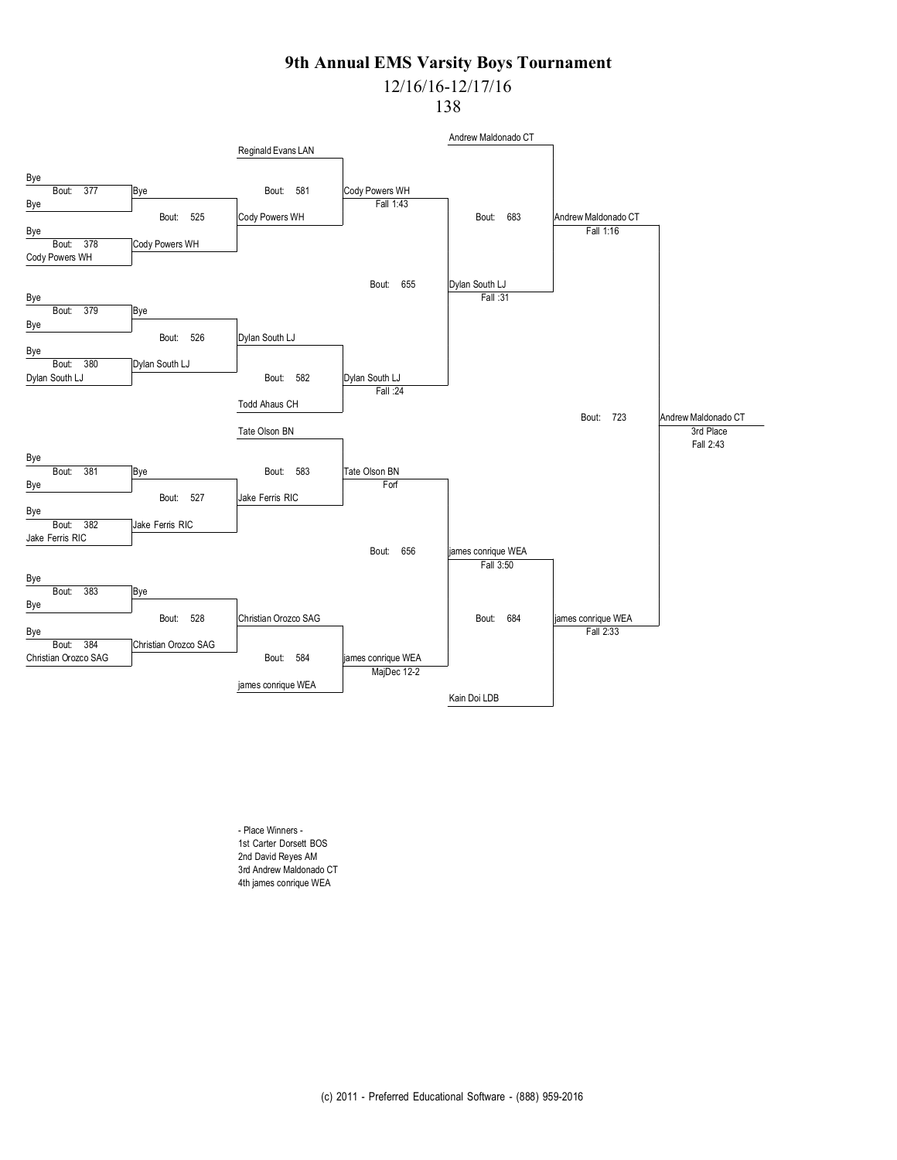# 12/16/16-12/17/16

138



- Place Winners - 1st Carter Dorsett BOS 2nd David Reyes AM 3rd Andrew Maldonado CT 4th james conrique WEA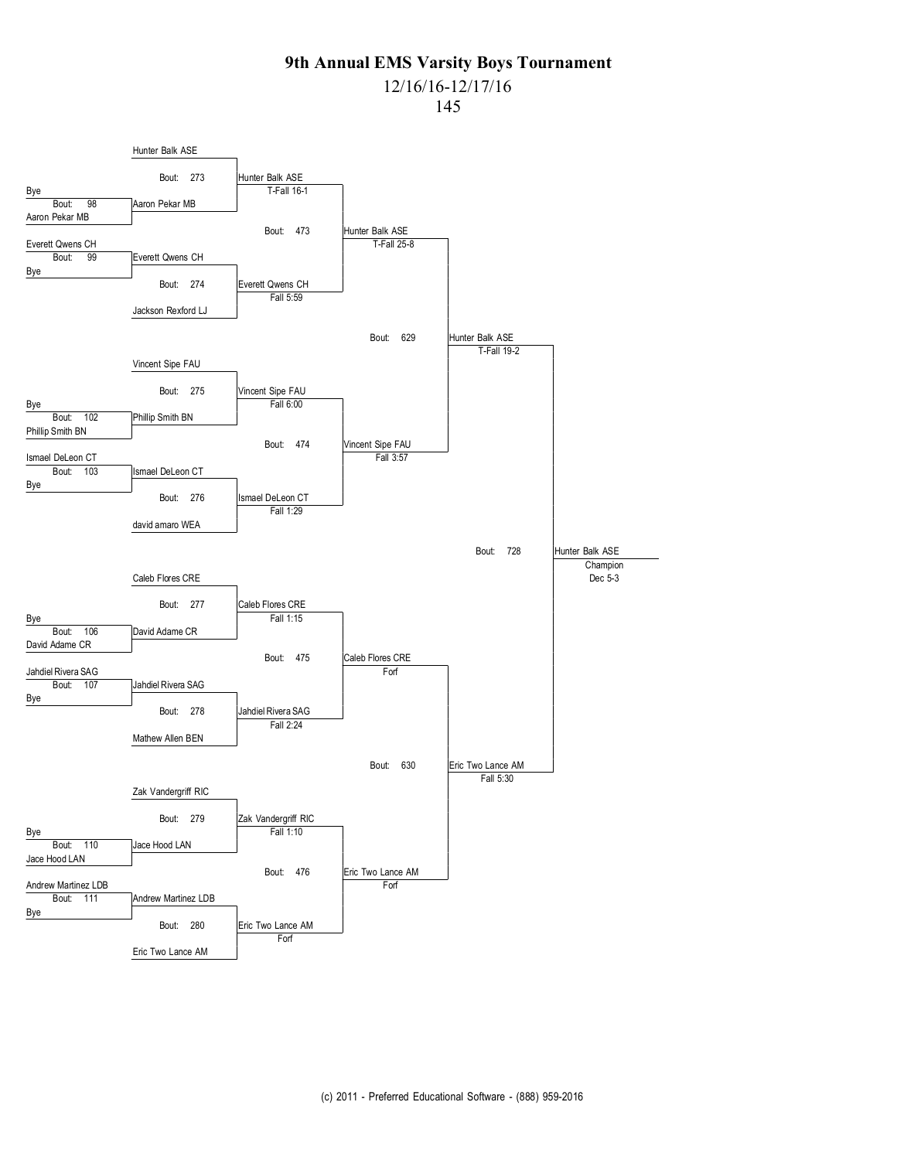# 12/16/16-12/17/16

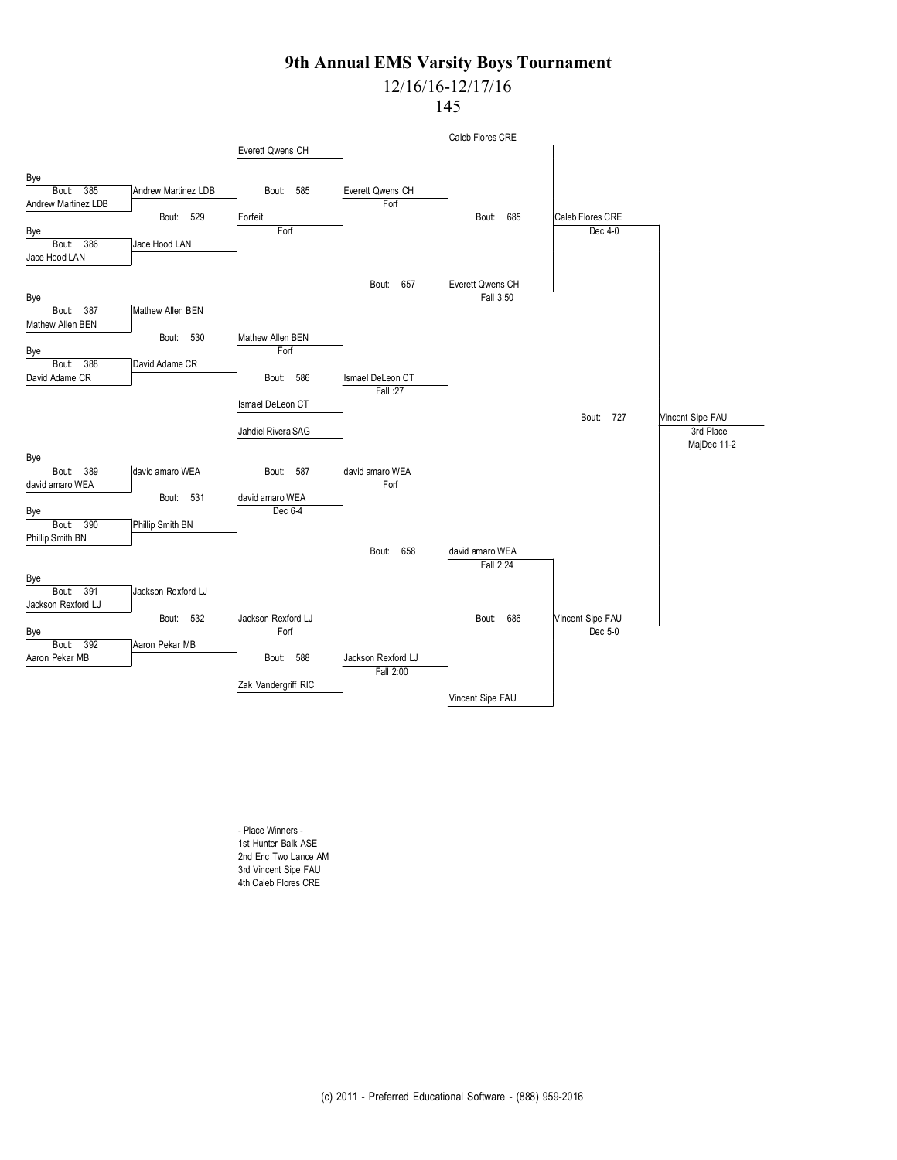# 12/16/16-12/17/16

145



- Place Winners - 1st Hunter Balk ASE 2nd Eric Two Lance AM 3rd Vincent Sipe FAU 4th Caleb Flores CRE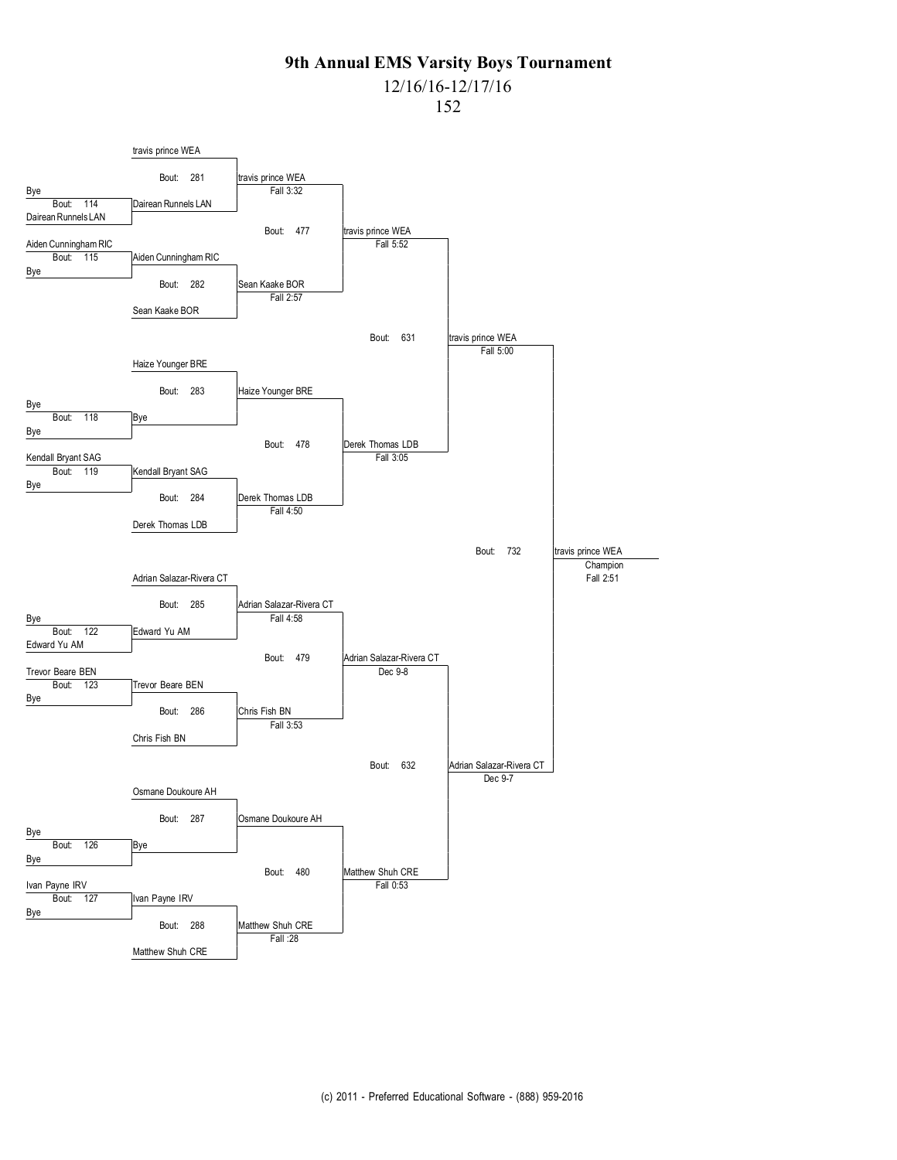# 12/16/16-12/17/16

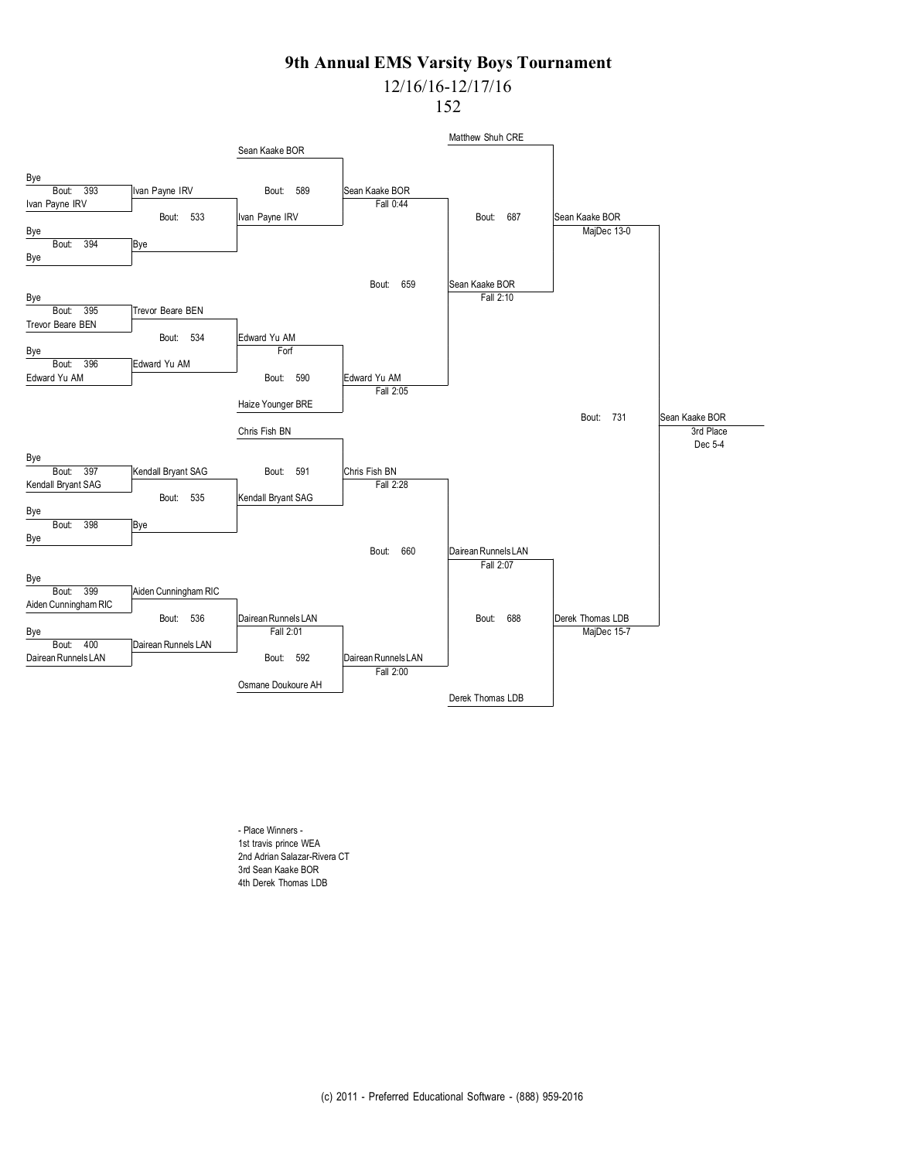# 12/16/16-12/17/16

152



- Place Winners - 1st travis prince WEA 2nd Adrian Salazar-Rivera CT 3rd Sean Kaake BOR 4th Derek Thomas LDB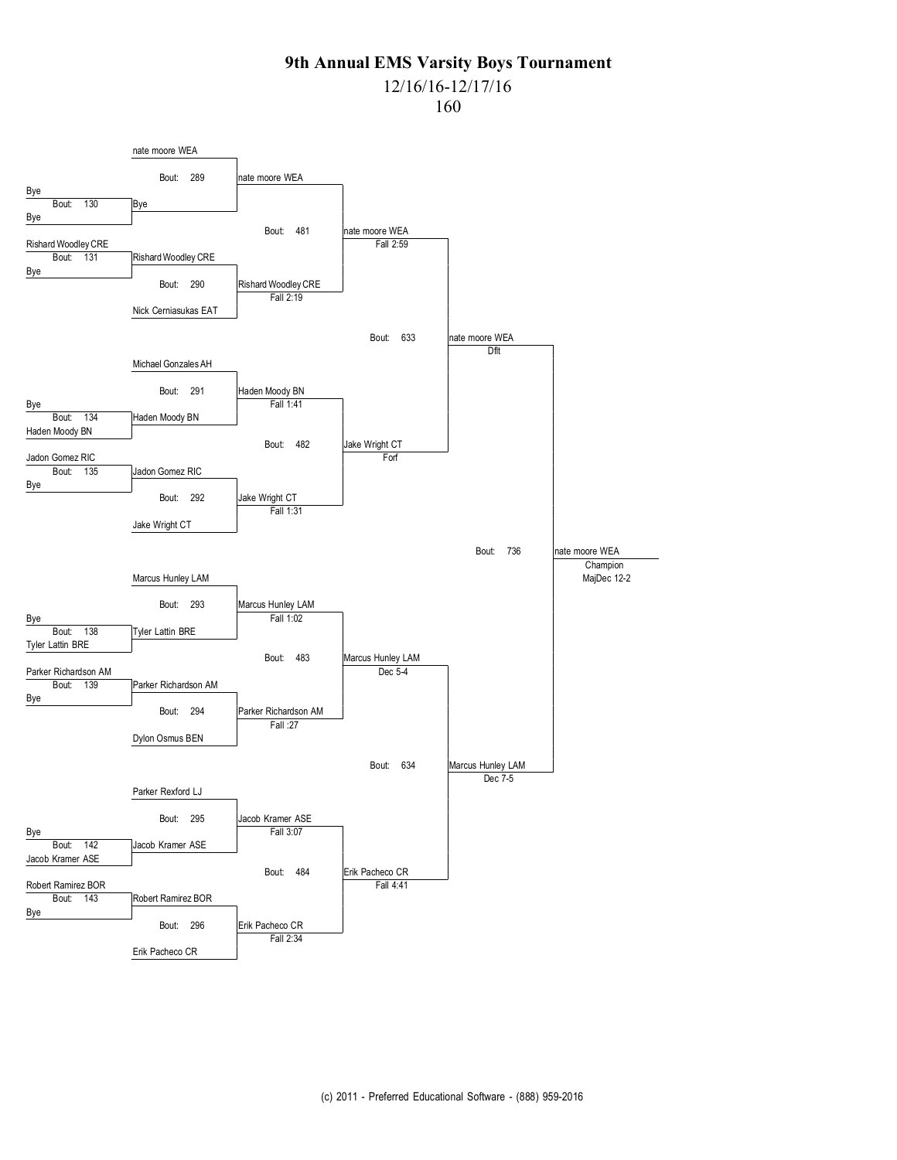### 12/16/16-12/17/16

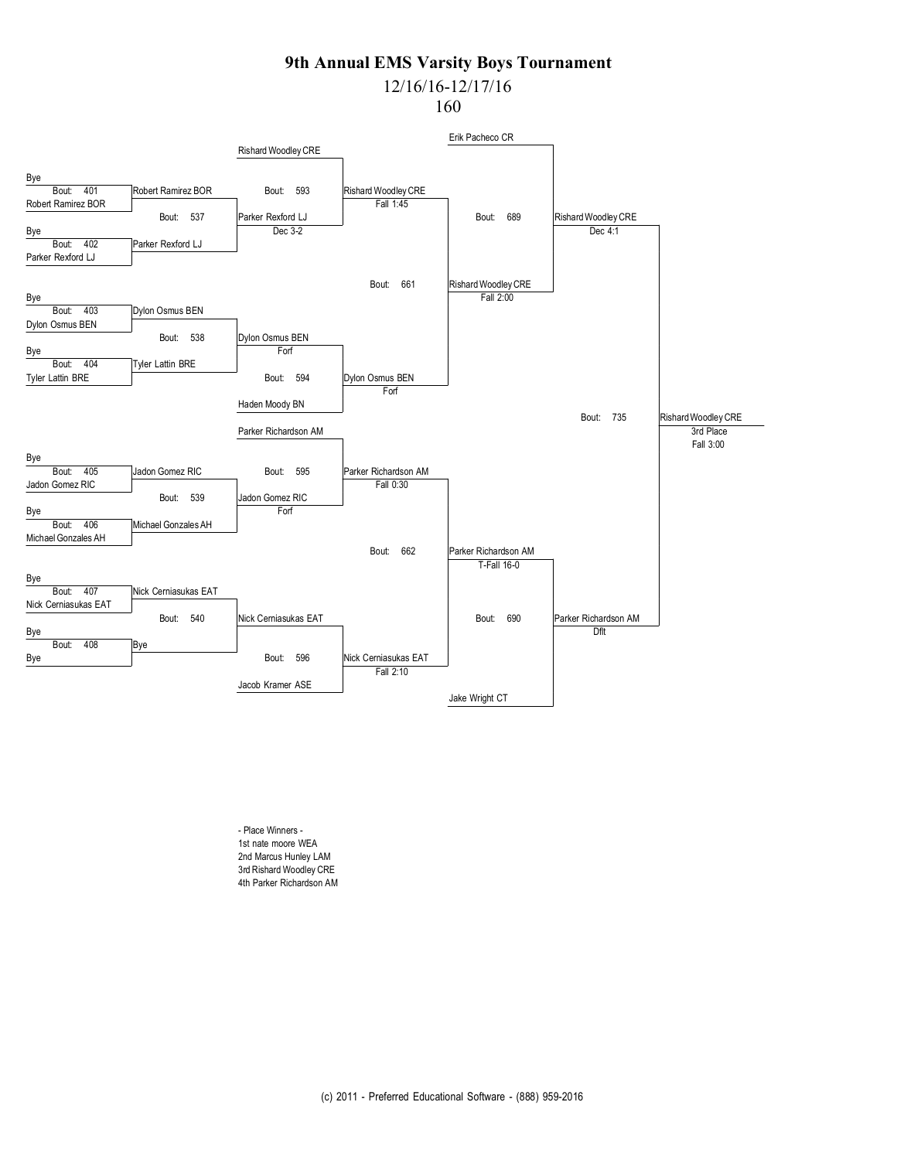## 12/16/16-12/17/16

160



- Place Winners - 1st nate moore WEA 2nd Marcus Hunley LAM 3rd Rishard Woodley CRE 4th Parker Richardson AM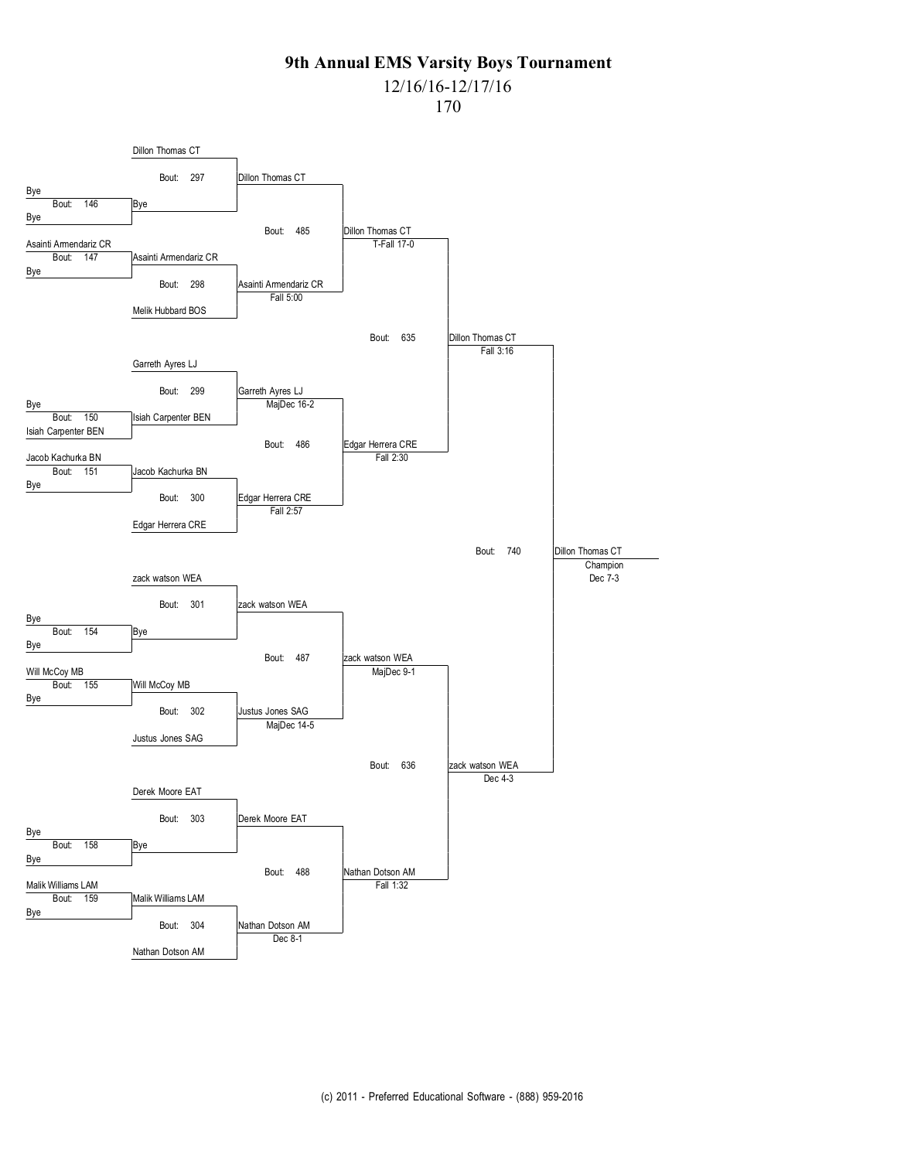# 12/16/16-12/17/16

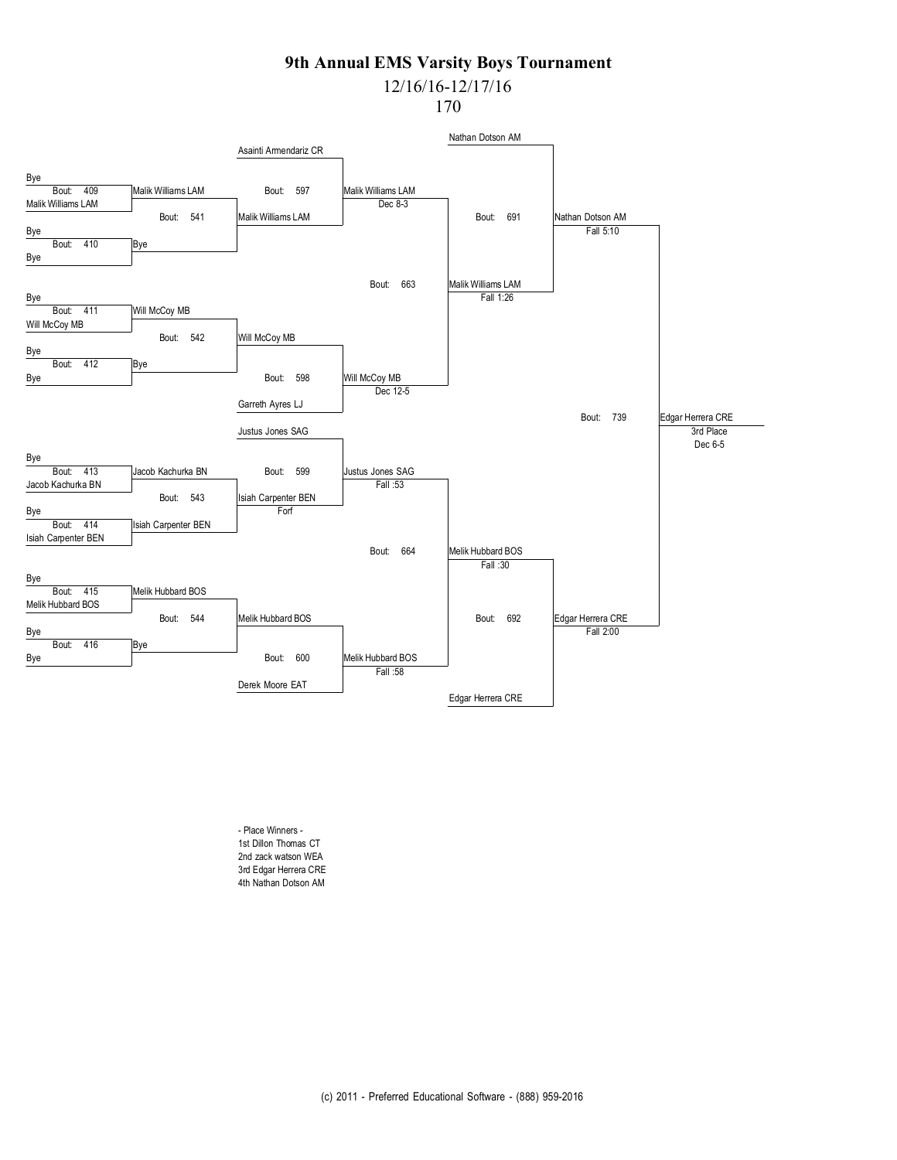# 12/16/16-12/17/16

170



- Place Winners - 1st Dillon Thomas CT 2nd zack watson WEA 3rd Edgar Herrera CRE 4th Nathan Dotson AM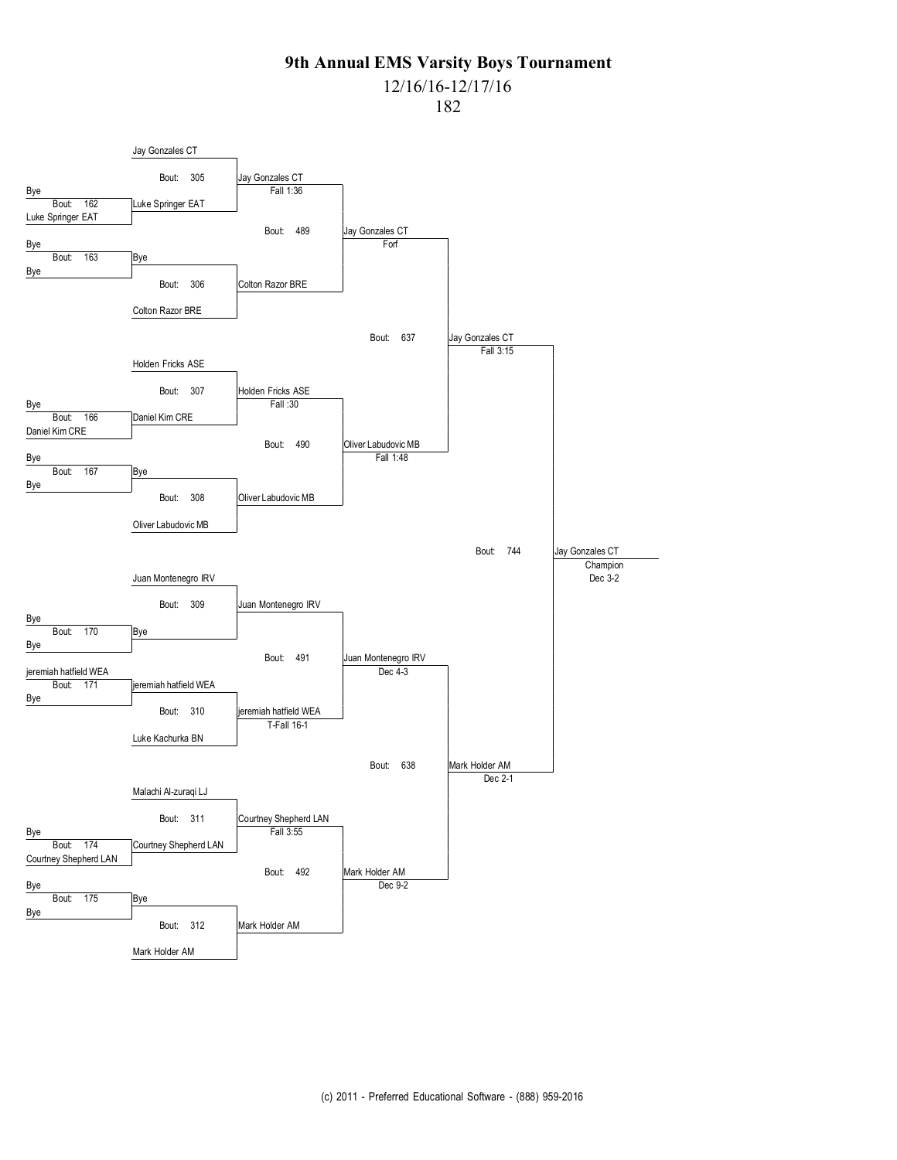# 12/16/16-12/17/16

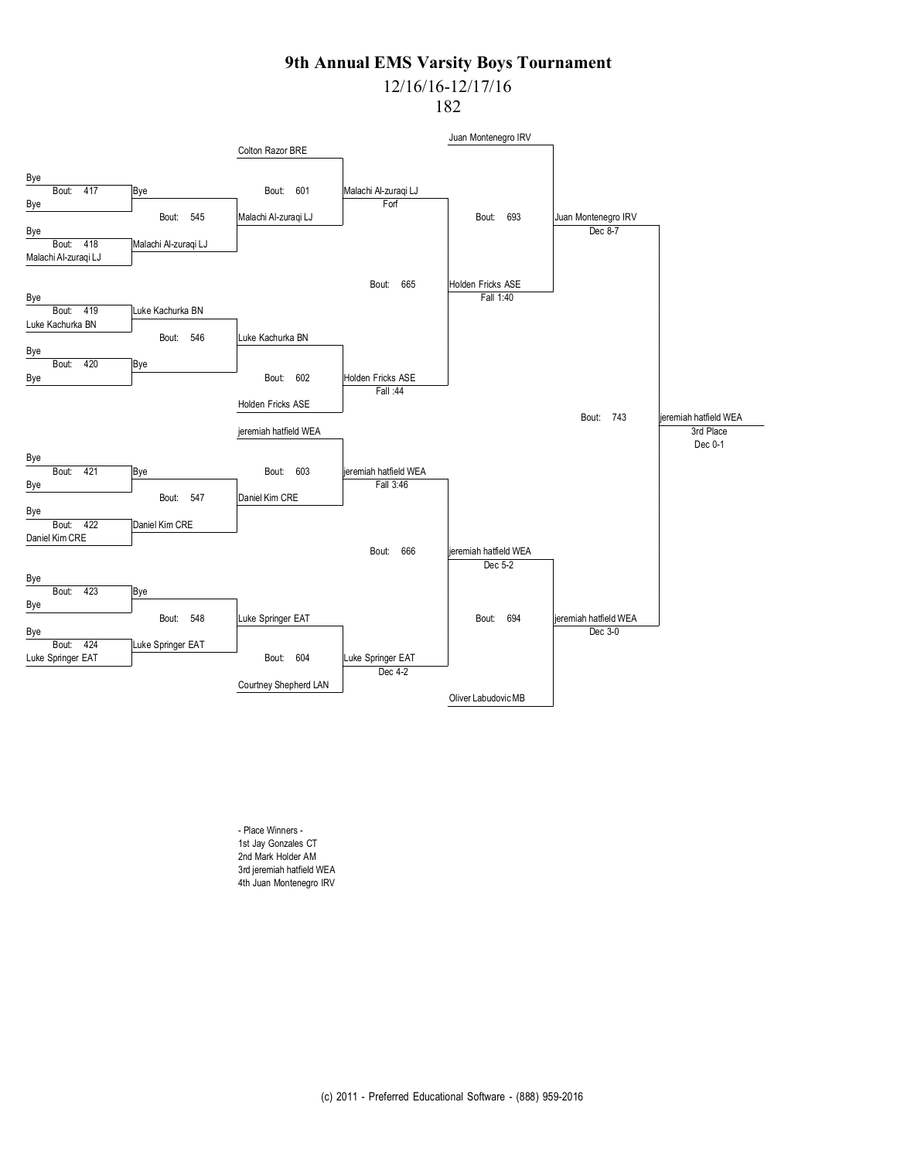# 12/16/16-12/17/16

182



- Place Winners - 1st Jay Gonzales CT 2nd Mark Holder AM 3rd jeremiah hatfield WEA 4th Juan Montenegro IRV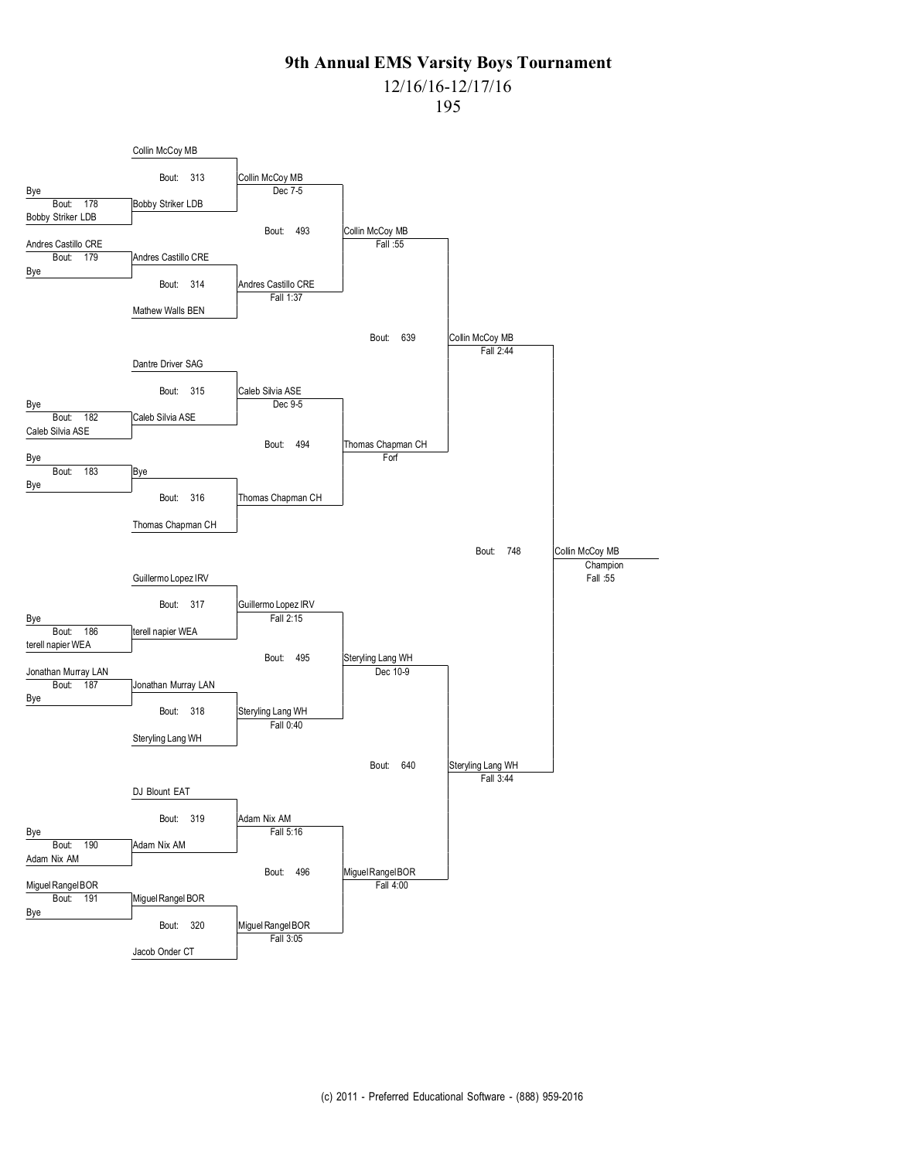# 12/16/16-12/17/16

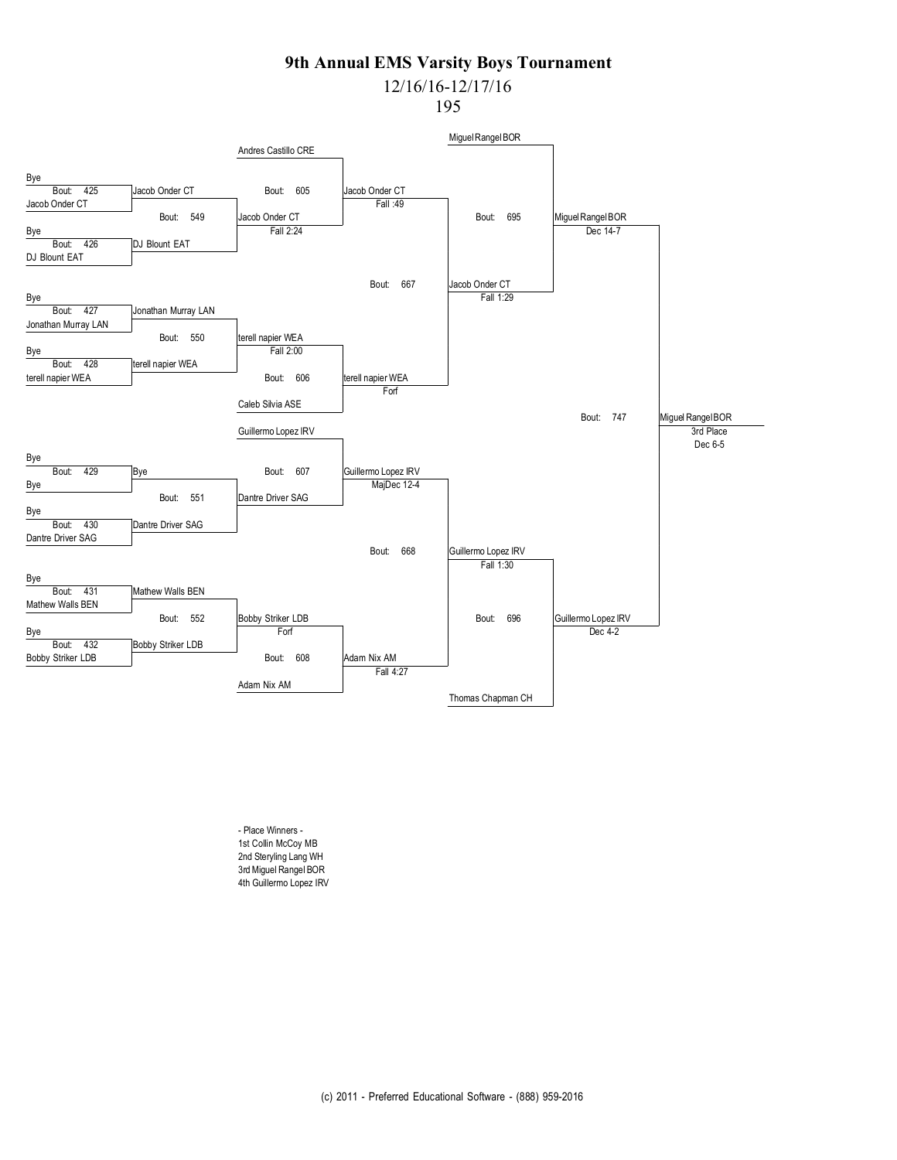# 12/16/16-12/17/16

195



- Place Winners - 1st Collin McCoy MB 2nd Steryling Lang WH 3rd Miguel Rangel BOR 4th Guillermo Lopez IRV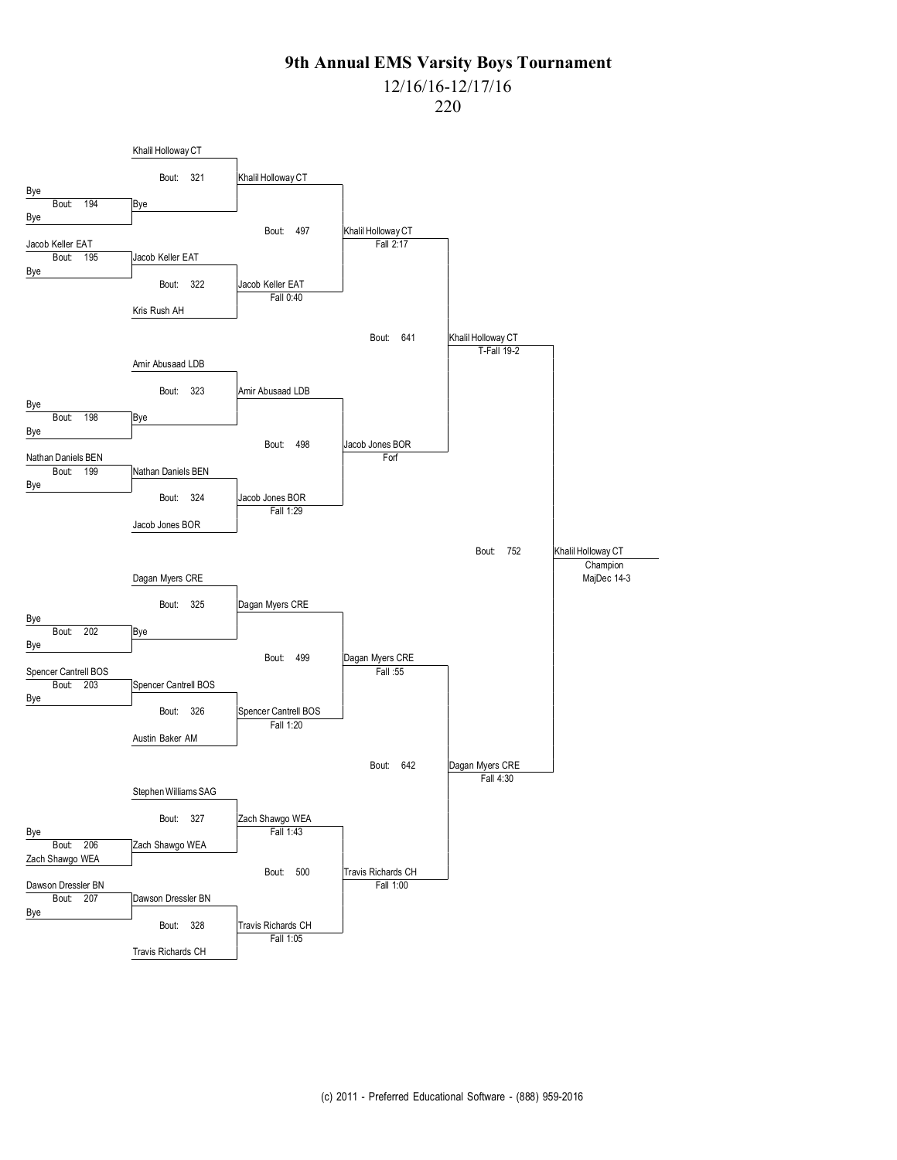### 12/16/16-12/17/16

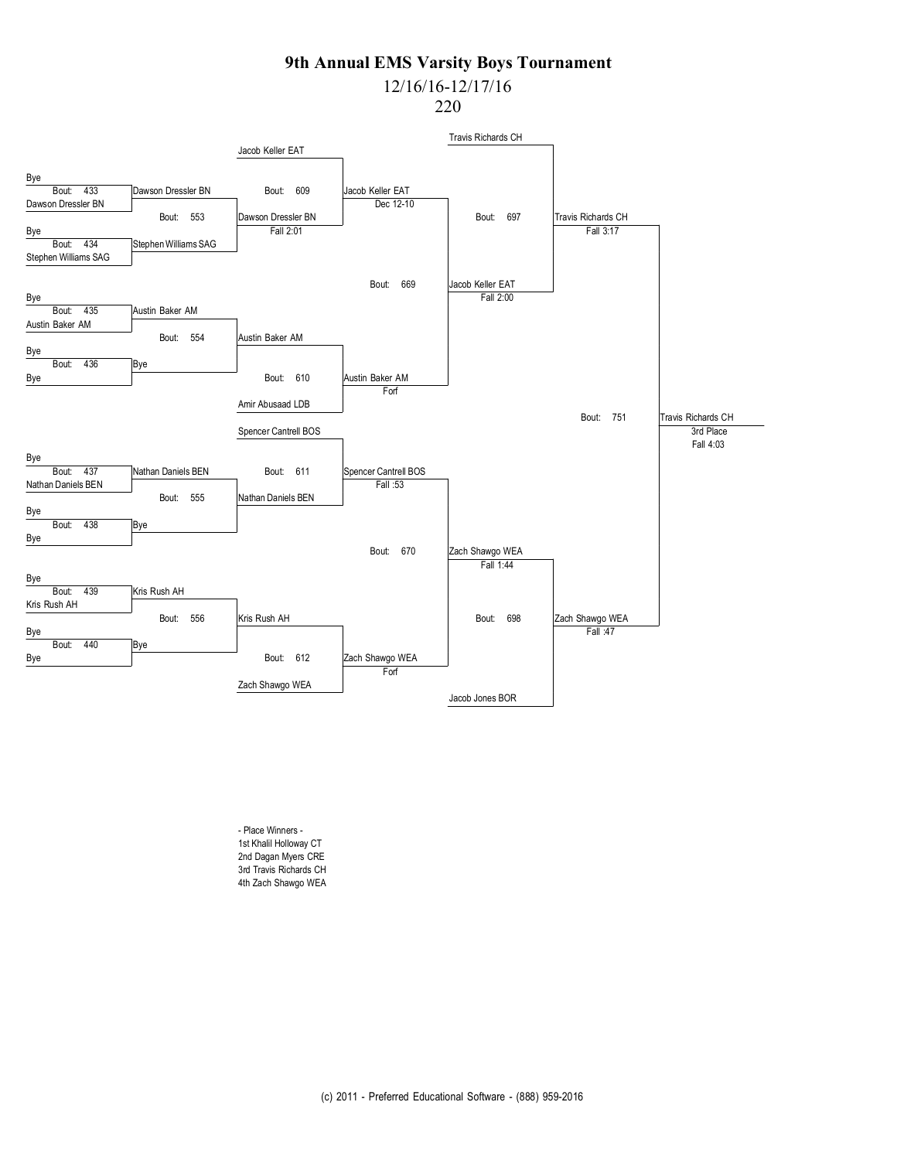# 12/16/16-12/17/16

220



- Place Winners - 1st Khalil Holloway CT 2nd Dagan Myers CRE 3rd Travis Richards CH 4th Zach Shawgo WEA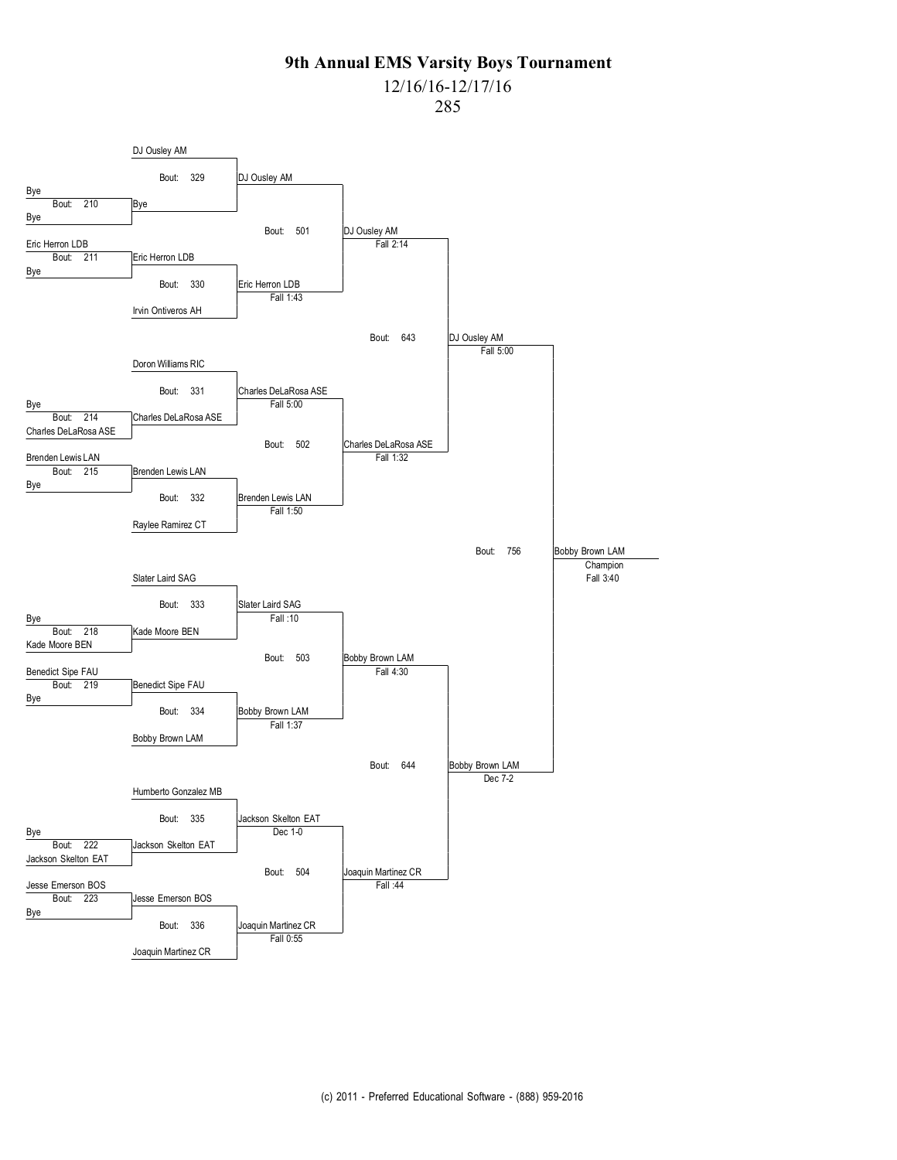### 12/16/16-12/17/16